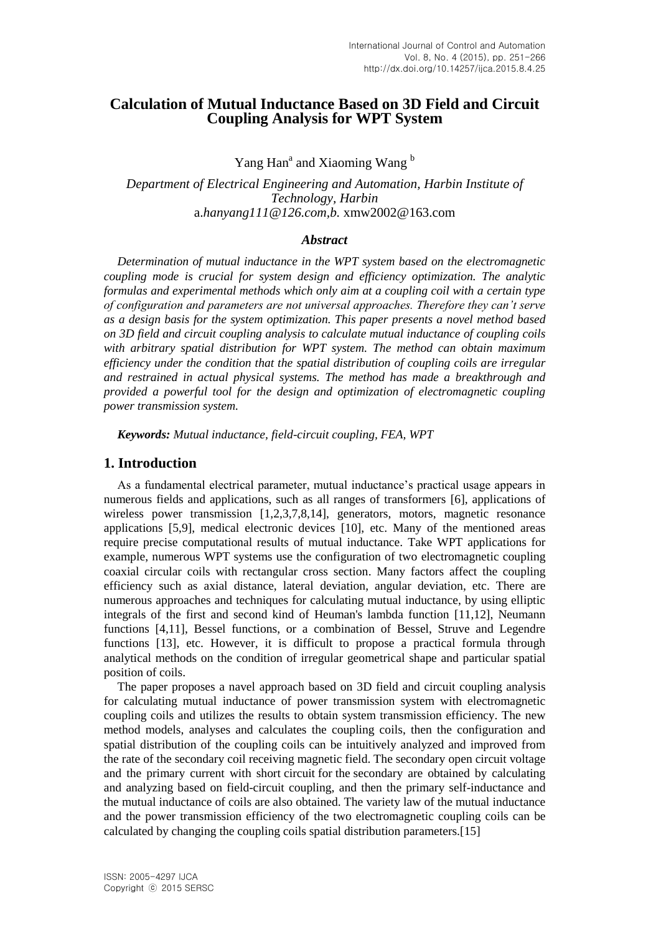# **Calculation of Mutual Inductance Based on 3D Field and Circuit Coupling Analysis for WPT System**

Yang Han<sup>a</sup> and Xiaoming Wang<sup>b</sup>

*Department of Electrical Engineering and Automation, Harbin Institute of Technology, Harbin*  a.*hanyang111@126.com,b.* xmw2002@163.com

#### *Abstract*

*Determination of mutual inductance in the WPT system based on the electromagnetic coupling mode is crucial for system design and efficiency optimization. The analytic formulas and experimental methods which only aim at a coupling coil with a certain type of configuration and parameters are not universal approaches. Therefore they can't serve as a design basis for the system optimization. This paper presents a novel method based on 3D field and circuit coupling analysis to calculate mutual inductance of coupling coils with arbitrary spatial distribution for WPT system. The method can obtain maximum efficiency under the condition that the spatial distribution of coupling coils are irregular and restrained in actual physical systems. The method has made a breakthrough and provided a powerful tool for the design and optimization of electromagnetic coupling power transmission system.*

*Keywords: Mutual inductance, field-circuit coupling, FEA, WPT*

## **1. Introduction**

As a fundamental electrical parameter, mutual inductance's practical usage appears in numerous fields and applications, such as all ranges of transformers [6], applications of wireless power transmission [1,2,3,7,8,14], generators, motors, magnetic resonance applications [5,9], medical electronic devices [10], etc. Many of the mentioned areas require precise computational results of mutual inductance. Take WPT applications for example, numerous WPT systems use the configuration of two [electromagnetic](app:ds:electromagnetic) [coupling](app:ds:coupling) coaxial circular coils with rectangular cross section. Many factors affect the coupling efficiency such as axial distance, lateral deviation, angular deviation, etc. There are numerous approaches and techniques for calculating mutual inductance, by using elliptic integrals of the first and second kind of Heuman's lambda function [11,12], Neumann functions [4,11], Bessel functions, or a combination of Bessel, Struve and Legendre functions [13], etc. However, it is difficult to propose a practical formula through [analytical](app:ds:analytical) [methods](app:ds:method) on the condition of irregular [geometrical](app:ds:geometrical) [shape](app:ds:shape) and particular spatial [position](app:ds:position) of coils.

The paper proposes a navel approach based on 3D field and circuit coupling analysis for calculating mutual inductance of power transmission system with electromagnetic coupling coils and utilizes the results to obtain system transmission efficiency. The new method models, analyses and calculates the coupling coils, then the configuration and spatial distribution of the coupling coils can be intuitively analyzed and improved from the rate of the [secondary](app:ds:secondary) [coil](app:ds:coil) receiving magnetic field. The secondary [open circuit](app:ds:open-circuit) [voltage](app:ds:voltage) and the primary current with short circuit for the secondary are obtained by calculating and analyzing based on field-circuit coupling, and then the primary self-inductance and the mutual inductance of coils are also obtained. The variety law of the mutual inductance and the power transmission efficiency of the two [electromagnetic](app:ds:electromagnetic) [coupling](app:ds:coupling) coils can be calculated by changing the coupling coils spatial distribution parameters.[15]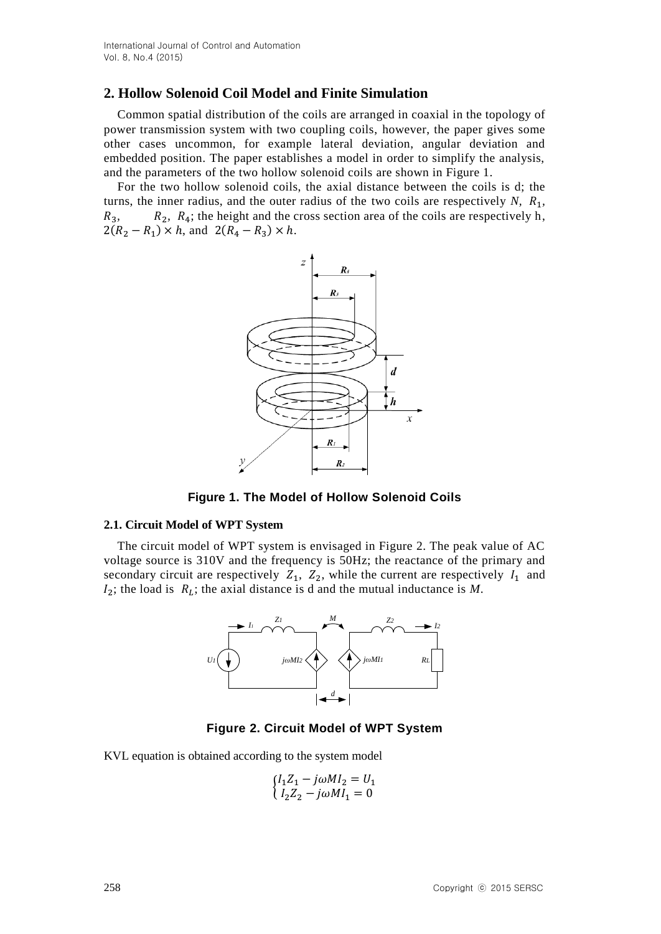# **2. Hollow Solenoid Coil Model and Finite Simulation**

Common spatial distribution of the coils are arranged in coaxial in the topology of power transmission system with two coupling coils, however, the paper gives some other cases uncommon, for example lateral deviation, angular deviation and embedded position. The paper establishes a model in order to simplify the analysis, and the parameters of the two hollow solenoid coils are shown in Figure 1.

For the two hollow solenoid coils, the [axial](app:ds:axial) [distance](app:ds:displacement) between the coils is d; the turns, the inner radius, and the outer radius of the two coils are respectively  $N$ ,  $R_1$ ,  $R_3$ ,  $R_4$ ; the height and the cross section area of the coils are respectively h,  $2(R_2 - R_1) \times h$ , and  $2(R_4 - R_3) \times h$ .



**Figure 1. The Model of Hollow Solenoid Coils** 

### **2.1. Circuit Model of WPT System**

The circuit model of WPT system is envisaged in Figure 2. The peak value of AC voltage source is 310V and the frequency is 50Hz; the reactance of the primary and secondary circuit are respectively  $Z_1$ ,  $Z_2$ , while the current are respectively  $I_1$  and  $I_2$ ; the load is  $R_L$ ; the [axial](app:ds:axial) [distance](app:ds:displacement) is d and the mutual inductance is M.



**Figure 2. Circuit Model of WPT System**

KVL equation is obtained according to the system model

$$
\begin{cases} I_1 Z_1 - j\omega M I_2 = U_1 \\ I_2 Z_2 - j\omega M I_1 = 0 \end{cases}
$$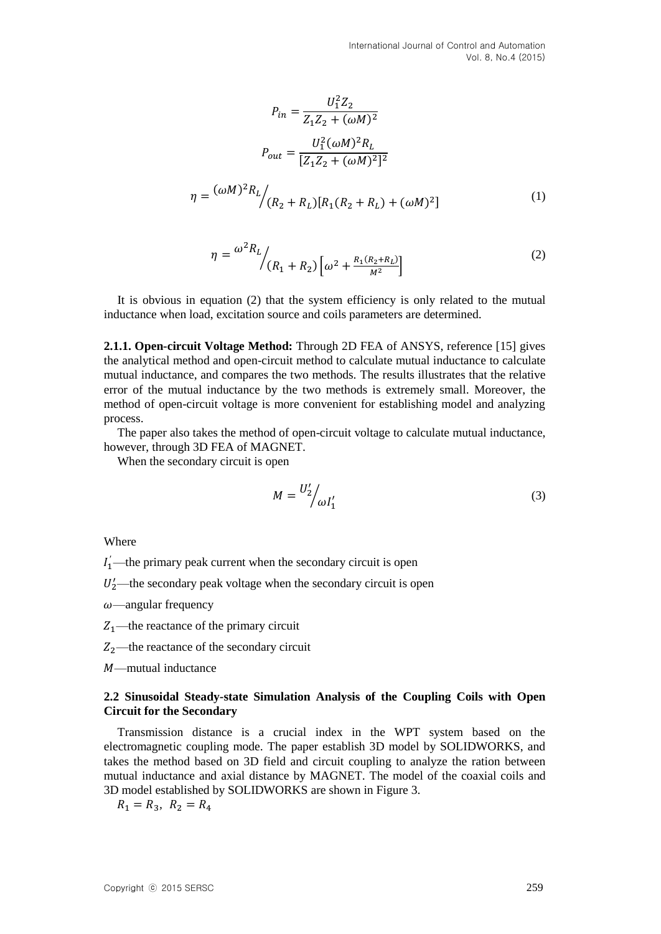$$
P_{in} = \frac{U_1^2 Z_2}{Z_1 Z_2 + (\omega M)^2}
$$

$$
P_{out} = \frac{U_1^2 (\omega M)^2 R_L}{[Z_1 Z_2 + (\omega M)^2]^2}
$$

$$
= \frac{(\omega M)^2 R_L}{(R_2 + R_L)[R_1 (R_2 + R_L) + (\omega M)^2]}
$$
(1)

$$
\eta = \frac{\omega^2 R_L}{R_1 + R_2} \left[ \omega^2 + \frac{R_1 (R_2 + R_L)}{M^2} \right]
$$
\n(2)

It is obvious in equation (2) that the system efficiency is only related to the mutual inductance when load, [excitation](app:ds:excitation) [source](app:ds:source) and coils parameters are determined.

**2.1.1. Open-circuit Voltage Method:** Through 2D FEA of ANSYS, reference [15] gives the analytical method and open-circuit method to calculate mutual inductance to calculate mutual inductance, and compares the two methods. The results illustrates that the relative error of the mutual inductance by the two methods is extremely small. Moreover, the method of open-circuit voltage is more convenient for establishing model and analyzing process.

The paper also takes the method of open-circuit voltage to calculate mutual inductance, however, through 3D FEA of MAGNET.

When the secondary circuit is open

 $\eta$ 

$$
M = \frac{U_2'}{\omega I_1'}\tag{3}
$$

Where

*l*<sup>*'*</sup> —the primary peak current when the secondary circuit is open

U<sub>2</sub>—the secondary peak voltage when the secondary circuit is open

 $\omega$ —angular frequency

 $Z_1$ —the reactance of the primary circuit

 $Z_2$ —the reactance of the secondary circuit

—mutual inductance

#### **2.2 Sinusoidal Steady-state Simulation Analysis of the Coupling Coils with Open Circuit for the Secondary**

Transmission distance is a crucial index in the WPT system based on the electromagnetic coupling mode. The paper establish 3D model by SOLIDWORKS, and takes the method based on 3D field and circuit coupling to analyze the ration between mutual inductance and axial distance by MAGNET. The model of the coaxial coils and 3D model established by SOLIDWORKS are shown in Figure 3.

 $R_1 = R_3, R_2 = R_4$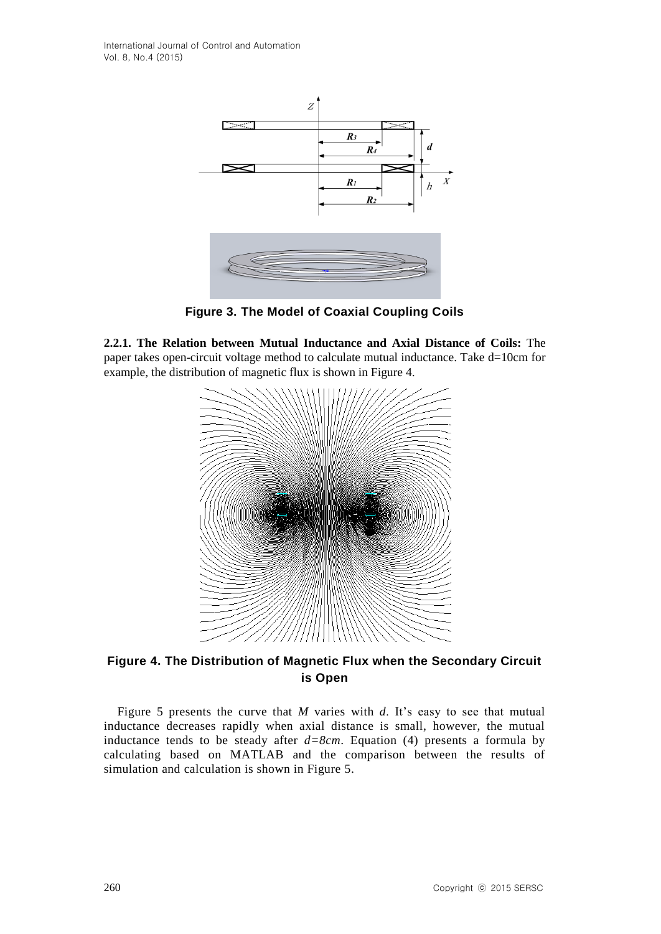International Journal of Control and Automation Vol. 8, No.4 (2015)



**Figure 3. The Model of Coaxial Coupling Coils**

**2.2.1. The Relation between Mutual Inductance and Axial Distance of Coils:** The paper takes open-circuit voltage method to calculate mutual inductance. Take d=10cm for example, the distribution of magnetic flux is shown in Figure 4.



**Figure 4. The Distribution of Magnetic Flux when the Secondary Circuit is Open**

Figure 5 presents the curve that *M* varies with *d*. It's easy to see that mutual inductance decreases rapidly when axial distance is small, however, the mutual inductance tends to be steady after  $d=8cm$ . Equation (4) presents a formula by calculating based on MATLAB and the comparison between the results of simulation and calculation is shown in Figure 5.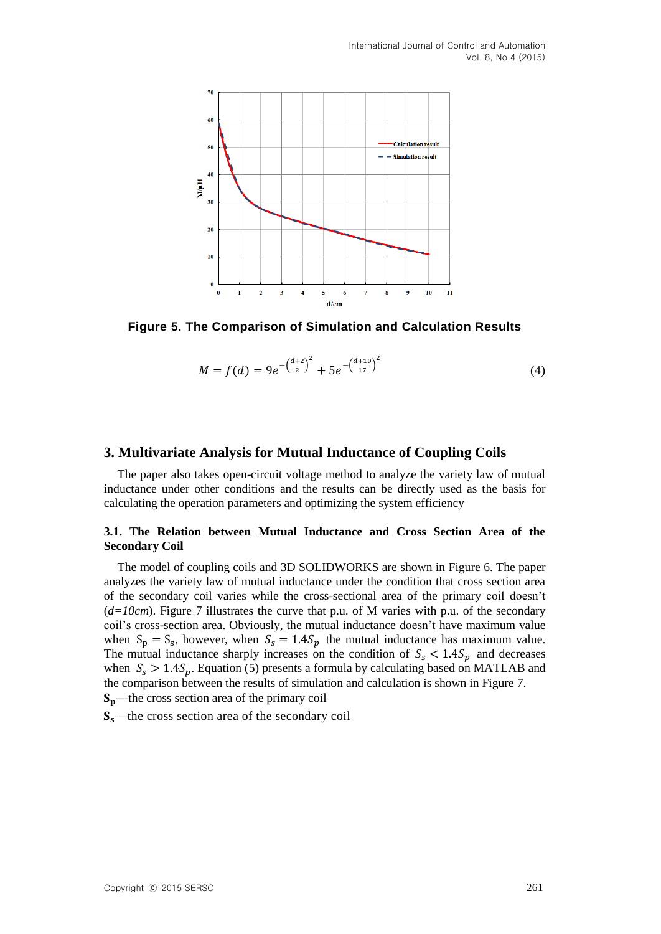

**Figure 5. The Comparison of Simulation and Calculation Results**

$$
M = f(d) = 9e^{-\left(\frac{d+2}{2}\right)^2} + 5e^{-\left(\frac{d+10}{17}\right)^2}
$$
\n(4)

## **3. Multivariate Analysis for Mutual Inductance of Coupling Coils**

The paper also takes open-circuit voltage method to analyze the variety law of mutual inductance under other conditions and the results can be directly used as the basis for calculating the operation parameters and optimizing the system efficiency

## **3.1. The Relation between Mutual Inductance and Cross Section Area of the Secondary Coil**

The model of coupling coils and 3D SOLIDWORKS are shown in Figure 6. The paper analyzes the variety law of mutual inductance under the condition that cross section area of the secondary coil varies while the cross-sectional area of the primary coil doesn't (*d=10cm*). Figure 7 illustrates the curve that p.u. of M varies with p.u. of the secondary coil's cross-section area. Obviously, the mutual inductance doesn't have maximum value when  $S_p = S_s$ , however, when  $S_s = 1.4 S_p$  the mutual inductance has maximum value. The mutual inductance sharply increases on the condition of  $S_s < 1.4 S_p$  and decreases when  $S_s > 1.4 S_p$ . Equation (5) presents a formula by calculating based on MATLAB and the comparison between the results of simulation and calculation is shown in Figure 7. **—**the cross section area of the primary coil

 $S_s$ —the cross section area of the secondary coil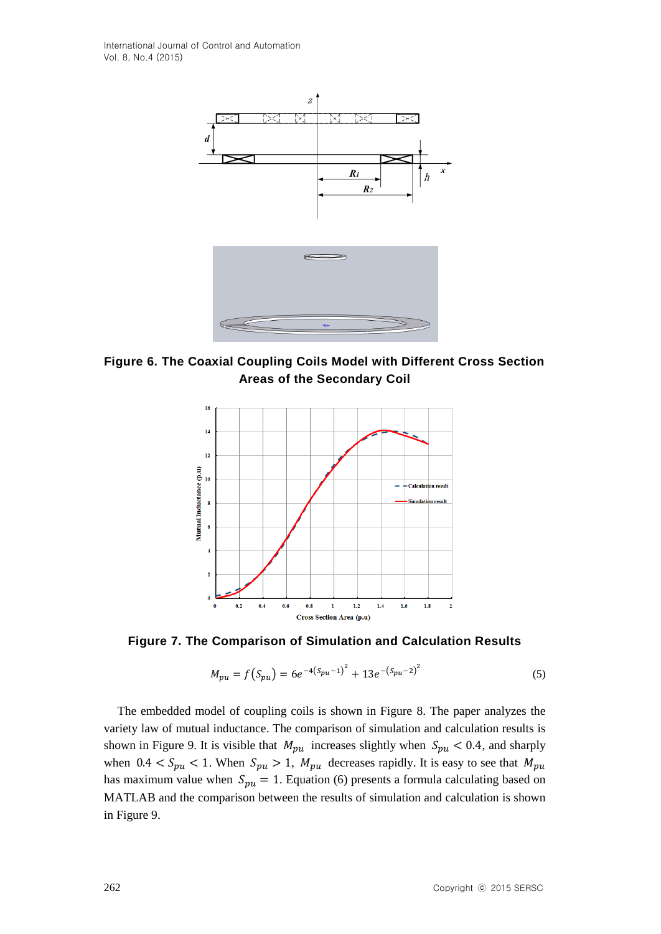International Journal of Control and Automation Vol. 8, No.4 (2015)



**Figure 6. The Coaxial Coupling Coils Model with Different Cross Section Areas of the Secondary Coil**



**Figure 7. The Comparison of Simulation and Calculation Results**

$$
M_{pu} = f(S_{pu}) = 6e^{-4(S_{pu}-1)^2} + 13e^{-(S_{pu}-2)^2}
$$
\n(5)

The embedded model of coupling coils is shown in Figure 8. The paper analyzes the variety law of mutual inductance. The comparison of simulation and calculation results is shown in Figure 9. It is visible that  $M_{pu}$  increases slightly when  $S_{pu} < 0.4$ , and sharply when  $0.4 < S_{pu} < 1$ . When  $S_{pu} > 1$ ,  $M_{pu}$  decreases rapidly. It is easy to see that  $M_{pu}$ has maximum value when  $S_{pu} = 1$ . Equation (6) presents a formula calculating based on MATLAB and the comparison between the results of simulation and calculation is shown in Figure 9.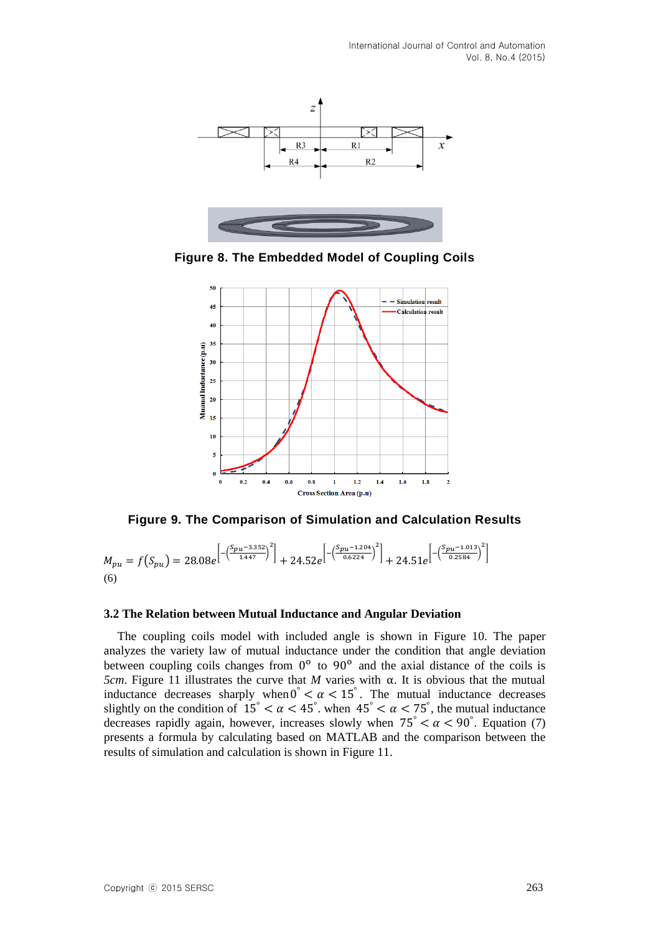International Journal of Control and Automation Vol. 8, No.4 (2015)



**Figure 8. The Embedded Model of Coupling Coils**



**Figure 9. The Comparison of Simulation and Calculation Results**

 $M_{pu} = f(S_{pu}) = 28.08e^{-\left(\frac{S_{pu}-3.352}{1.447}\right)^2} + 24.52e^{-\left(\frac{S_{pu}-1.204}{0.6224}\right)^2} + 24.51e^{-\left(\frac{S_{pu}-1.013}{0.2584}\right)^2}$ (6)

### **3.2 The Relation between Mutual Inductance and Angular Deviation**

The coupling coils model with included angle is shown in Figure 10. The paper analyzes the variety law of mutual inductance under the condition that angle deviation between coupling coils changes from  $0^{\circ}$  to  $90^{\circ}$  and the axial distance of the coils is *5cm*. Figure 11 illustrates the curve that *M* varies with α. It is obvious that the mutual inductance decreases sharply when  $0^\circ < \alpha < 15^\circ$ . The mutual inductance decreases slightly on the condition of  $15^\circ < \alpha < 45^\circ$ . when  $45^\circ < \alpha < 75^\circ$ , the mutual inductance decreases rapidly again, however, increases slowly when  $75\degree < \alpha < 90\degree$ . Equation (7) presents a formula by calculating based on MATLAB and the comparison between the results of simulation and calculation is shown in Figure 11.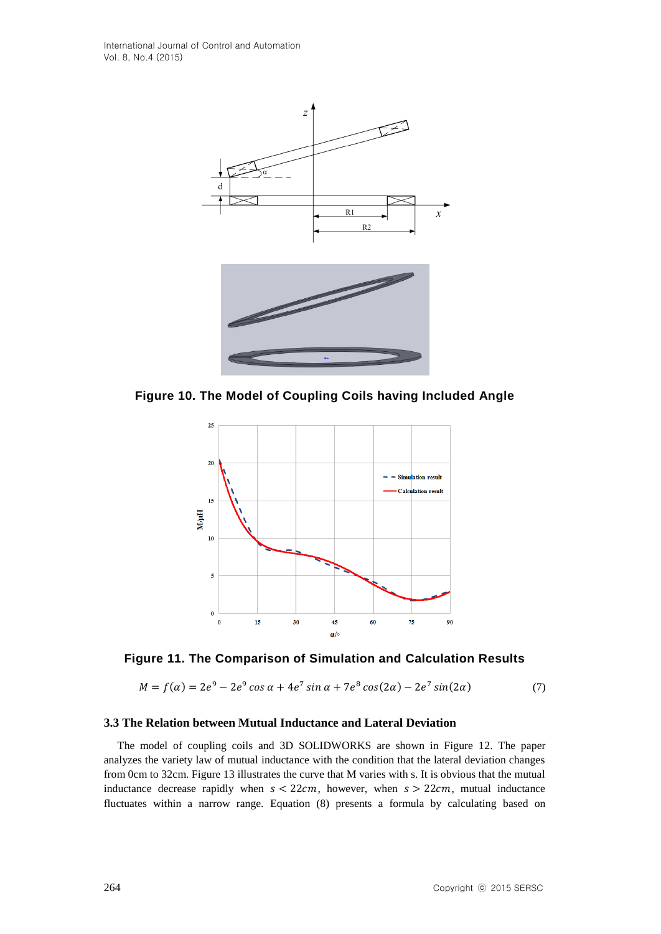

**Figure 10. The Model of Coupling Coils having Included Angle**





$$
M = f(\alpha) = 2e^9 - 2e^9 \cos \alpha + 4e^7 \sin \alpha + 7e^8 \cos(2\alpha) - 2e^7 \sin(2\alpha) \tag{7}
$$

### **3.3 The Relation between Mutual Inductance and Lateral Deviation**

The model of coupling coils and 3D SOLIDWORKS are shown in Figure 12. The paper analyzes the variety law of mutual inductance with the condition that the lateral deviation changes from 0cm to 32cm. Figure 13 illustrates the curve that M varies with s. It is obvious that the mutual inductance decrease rapidly when  $s < 22cm$ , however, when  $s > 22cm$ , mutual inductance fluctuates within a narrow range. Equation (8) presents a formula by calculating based on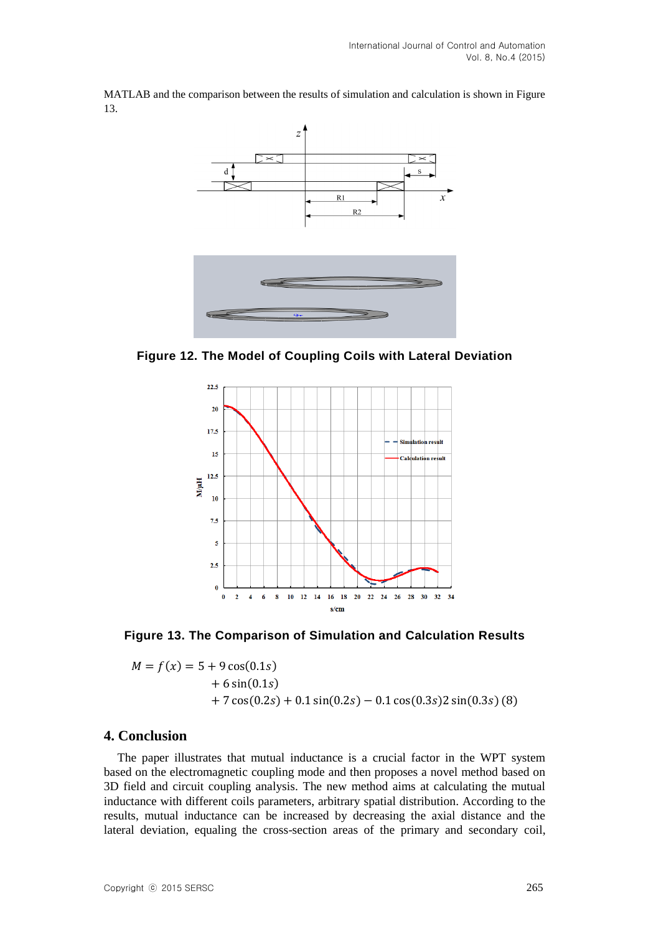

MATLAB and the comparison between the results of simulation and calculation is shown in Figure 13.

**Figure 12. The Model of Coupling Coils with Lateral Deviation**



**Figure 13. The Comparison of Simulation and Calculation Results**

$$
M = f(x) = 5 + 9\cos(0.1s)
$$
  
+ 6 sin(0.1s)  
+ 7 cos(0.2s) + 0.1 sin(0.2s) – 0.1 cos(0.3s)2 sin(0.3s) (8)

## **4. Conclusion**

The paper illustrates that mutual inductance is a crucial factor in the WPT system based on the electromagnetic coupling mode and then proposes a novel method based on 3D field and circuit coupling analysis. The new method aims at calculating the mutual inductance with different coils parameters, arbitrary spatial distribution. According to the results, mutual inductance can be increased by decreasing the axial distance and the lateral deviation, equaling the cross-section areas of the primary and secondary coil,